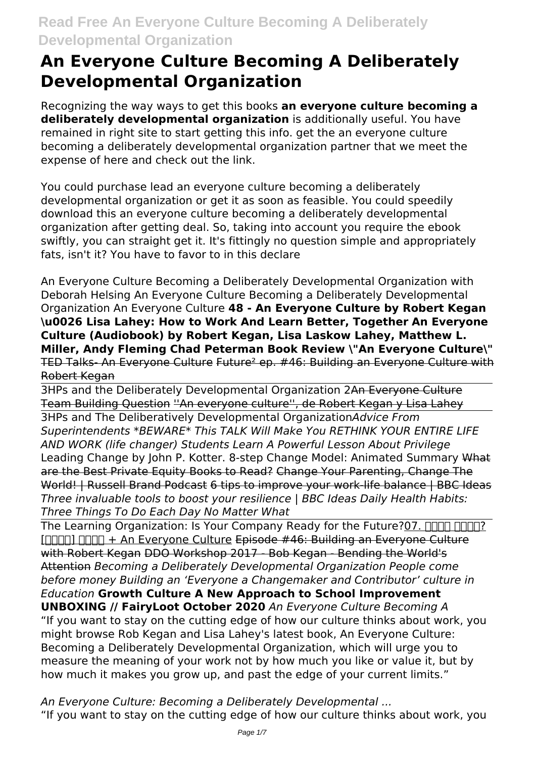Recognizing the way ways to get this books **an everyone culture becoming a deliberately developmental organization** is additionally useful. You have remained in right site to start getting this info. get the an everyone culture becoming a deliberately developmental organization partner that we meet the expense of here and check out the link.

You could purchase lead an everyone culture becoming a deliberately developmental organization or get it as soon as feasible. You could speedily download this an everyone culture becoming a deliberately developmental organization after getting deal. So, taking into account you require the ebook swiftly, you can straight get it. It's fittingly no question simple and appropriately fats, isn't it? You have to favor to in this declare

An Everyone Culture Becoming a Deliberately Developmental Organization with Deborah Helsing An Everyone Culture Becoming a Deliberately Developmental Organization An Everyone Culture **48 - An Everyone Culture by Robert Kegan \u0026 Lisa Lahey: How to Work And Learn Better, Together An Everyone Culture (Audiobook) by Robert Kegan, Lisa Laskow Lahey, Matthew L. Miller, Andy Fleming Chad Peterman Book Review \"An Everyone Culture\"** TED Talks- An Everyone Culture Future² ep. #46: Building an Everyone Culture with Robert Kegan

3HPs and the Deliberately Developmental Organization 2An Everyone Culture Team Building Question ''An everyone culture'', de Robert Kegan y Lisa Lahey

3HPs and The Deliberatively Developmental Organization*Advice From Superintendents \*BEWARE\* This TALK Will Make You RETHINK YOUR ENTIRE LIFE AND WORK (life changer) Students Learn A Powerful Lesson About Privilege* Leading Change by John P. Kotter. 8-step Change Model: Animated Summary What are the Best Private Equity Books to Read? Change Your Parenting, Change The World! | Russell Brand Podcast 6 tips to improve your work-life balance | BBC Ideas *Three invaluable tools to boost your resilience | BBC Ideas Daily Health Habits: Three Things To Do Each Day No Matter What*

The Learning Organization: Is Your Company Ready for the Future?07. 미미미미미?  $[$   $[$   $[$   $[$   $\Box$  $\Box$  $\Box$  $\Box$  $\Box$  $\Box$  + An Everyone Culture Episode #46: Building an Everyone Culture with Robert Kegan DDO Workshop 2017 - Bob Kegan - Bending the World's Attention *Becoming a Deliberately Developmental Organization People come before money Building an 'Everyone a Changemaker and Contributor' culture in Education* **Growth Culture A New Approach to School Improvement UNBOXING // FairyLoot October 2020** *An Everyone Culture Becoming A* "If you want to stay on the cutting edge of how our culture thinks about work, you might browse Rob Kegan and Lisa Lahey's latest book, An Everyone Culture: Becoming a Deliberately Developmental Organization, which will urge you to measure the meaning of your work not by how much you like or value it, but by how much it makes you grow up, and past the edge of your current limits."

*An Everyone Culture: Becoming a Deliberately Developmental ...* "If you want to stay on the cutting edge of how our culture thinks about work, you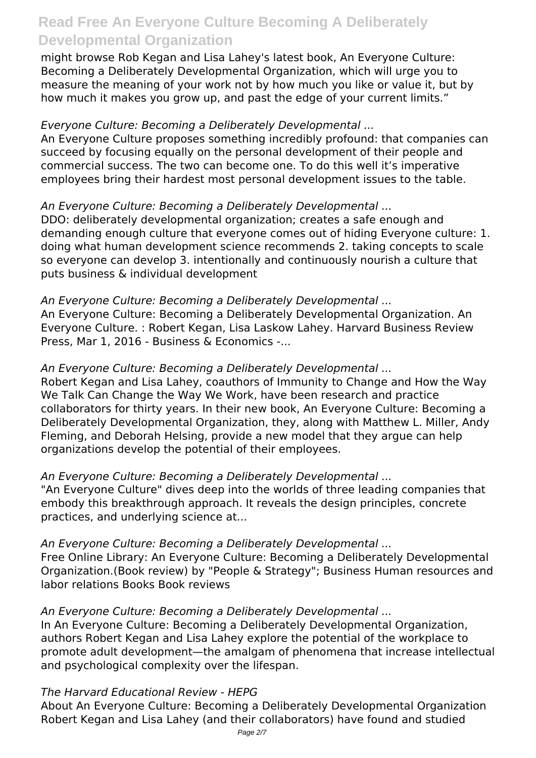might browse Rob Kegan and Lisa Lahey's latest book, An Everyone Culture: Becoming a Deliberately Developmental Organization, which will urge you to measure the meaning of your work not by how much you like or value it, but by how much it makes you grow up, and past the edge of your current limits."

### *Everyone Culture: Becoming a Deliberately Developmental ...*

An Everyone Culture proposes something incredibly profound: that companies can succeed by focusing equally on the personal development of their people and commercial success. The two can become one. To do this well it's imperative employees bring their hardest most personal development issues to the table.

### *An Everyone Culture: Becoming a Deliberately Developmental ...*

DDO: deliberately developmental organization; creates a safe enough and demanding enough culture that everyone comes out of hiding Everyone culture: 1. doing what human development science recommends 2. taking concepts to scale so everyone can develop 3. intentionally and continuously nourish a culture that puts business & individual development

### *An Everyone Culture: Becoming a Deliberately Developmental ...*

An Everyone Culture: Becoming a Deliberately Developmental Organization. An Everyone Culture. : Robert Kegan, Lisa Laskow Lahey. Harvard Business Review Press, Mar 1, 2016 - Business & Economics -...

### *An Everyone Culture: Becoming a Deliberately Developmental ...*

Robert Kegan and Lisa Lahey, coauthors of Immunity to Change and How the Way We Talk Can Change the Way We Work, have been research and practice collaborators for thirty years. In their new book, An Everyone Culture: Becoming a Deliberately Developmental Organization, they, along with Matthew L. Miller, Andy Fleming, and Deborah Helsing, provide a new model that they argue can help organizations develop the potential of their employees.

### *An Everyone Culture: Becoming a Deliberately Developmental ...*

"An Everyone Culture" dives deep into the worlds of three leading companies that embody this breakthrough approach. It reveals the design principles, concrete practices, and underlying science at...

### *An Everyone Culture: Becoming a Deliberately Developmental ...*

Free Online Library: An Everyone Culture: Becoming a Deliberately Developmental Organization.(Book review) by "People & Strategy"; Business Human resources and labor relations Books Book reviews

### *An Everyone Culture: Becoming a Deliberately Developmental ...*

In An Everyone Culture: Becoming a Deliberately Developmental Organization, authors Robert Kegan and Lisa Lahey explore the potential of the workplace to promote adult development—the amalgam of phenomena that increase intellectual and psychological complexity over the lifespan.

### *The Harvard Educational Review - HEPG*

About An Everyone Culture: Becoming a Deliberately Developmental Organization Robert Kegan and Lisa Lahey (and their collaborators) have found and studied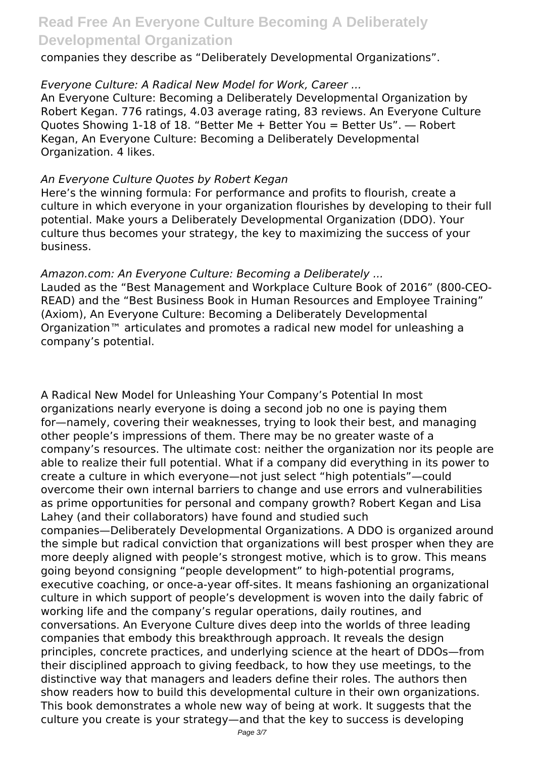companies they describe as "Deliberately Developmental Organizations".

### *Everyone Culture: A Radical New Model for Work, Career ...*

An Everyone Culture: Becoming a Deliberately Developmental Organization by Robert Kegan. 776 ratings, 4.03 average rating, 83 reviews. An Everyone Culture Quotes Showing 1-18 of 18. "Better Me  $+$  Better You = Better Us".  $-$  Robert Kegan, An Everyone Culture: Becoming a Deliberately Developmental Organization. 4 likes.

#### *An Everyone Culture Quotes by Robert Kegan*

Here's the winning formula: For performance and profits to flourish, create a culture in which everyone in your organization flourishes by developing to their full potential. Make yours a Deliberately Developmental Organization (DDO). Your culture thus becomes your strategy, the key to maximizing the success of your business.

### *Amazon.com: An Everyone Culture: Becoming a Deliberately ...*

Lauded as the "Best Management and Workplace Culture Book of 2016" (800-CEO-READ) and the "Best Business Book in Human Resources and Employee Training" (Axiom), An Everyone Culture: Becoming a Deliberately Developmental Organization™ articulates and promotes a radical new model for unleashing a company's potential.

A Radical New Model for Unleashing Your Company's Potential In most organizations nearly everyone is doing a second job no one is paying them for—namely, covering their weaknesses, trying to look their best, and managing other people's impressions of them. There may be no greater waste of a company's resources. The ultimate cost: neither the organization nor its people are able to realize their full potential. What if a company did everything in its power to create a culture in which everyone—not just select "high potentials"—could overcome their own internal barriers to change and use errors and vulnerabilities as prime opportunities for personal and company growth? Robert Kegan and Lisa Lahey (and their collaborators) have found and studied such companies—Deliberately Developmental Organizations. A DDO is organized around the simple but radical conviction that organizations will best prosper when they are more deeply aligned with people's strongest motive, which is to grow. This means going beyond consigning "people development" to high-potential programs, executive coaching, or once-a-year off-sites. It means fashioning an organizational culture in which support of people's development is woven into the daily fabric of working life and the company's regular operations, daily routines, and conversations. An Everyone Culture dives deep into the worlds of three leading companies that embody this breakthrough approach. It reveals the design principles, concrete practices, and underlying science at the heart of DDOs—from their disciplined approach to giving feedback, to how they use meetings, to the distinctive way that managers and leaders define their roles. The authors then show readers how to build this developmental culture in their own organizations. This book demonstrates a whole new way of being at work. It suggests that the culture you create is your strategy—and that the key to success is developing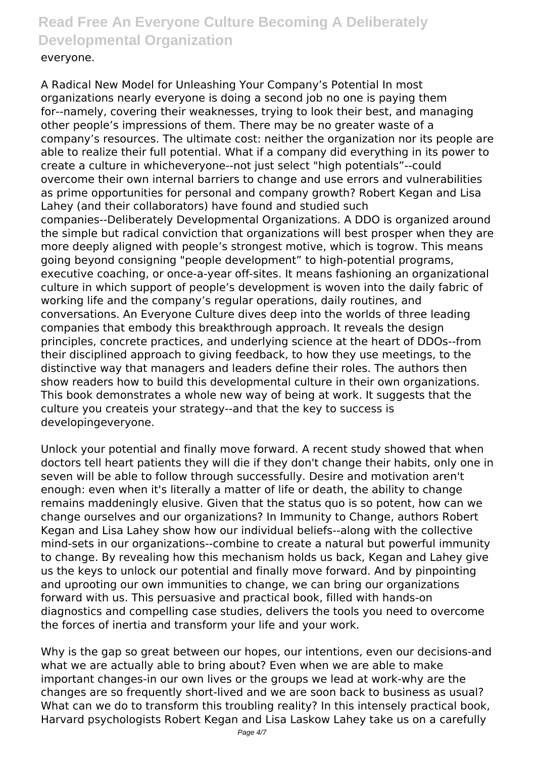#### everyone.

A Radical New Model for Unleashing Your Company's Potential In most organizations nearly everyone is doing a second job no one is paying them for--namely, covering their weaknesses, trying to look their best, and managing other people's impressions of them. There may be no greater waste of a company's resources. The ultimate cost: neither the organization nor its people are able to realize their full potential. What if a company did everything in its power to create a culture in whicheveryone--not just select "high potentials"--could overcome their own internal barriers to change and use errors and vulnerabilities as prime opportunities for personal and company growth? Robert Kegan and Lisa Lahey (and their collaborators) have found and studied such companies--Deliberately Developmental Organizations. A DDO is organized around the simple but radical conviction that organizations will best prosper when they are more deeply aligned with people's strongest motive, which is togrow. This means going beyond consigning "people development" to high-potential programs, executive coaching, or once-a-year off-sites. It means fashioning an organizational culture in which support of people's development is woven into the daily fabric of working life and the company's regular operations, daily routines, and conversations. An Everyone Culture dives deep into the worlds of three leading companies that embody this breakthrough approach. It reveals the design principles, concrete practices, and underlying science at the heart of DDOs--from their disciplined approach to giving feedback, to how they use meetings, to the distinctive way that managers and leaders define their roles. The authors then show readers how to build this developmental culture in their own organizations. This book demonstrates a whole new way of being at work. It suggests that the culture you createis your strategy--and that the key to success is developingeveryone.

Unlock your potential and finally move forward. A recent study showed that when doctors tell heart patients they will die if they don't change their habits, only one in seven will be able to follow through successfully. Desire and motivation aren't enough: even when it's literally a matter of life or death, the ability to change remains maddeningly elusive. Given that the status quo is so potent, how can we change ourselves and our organizations? In Immunity to Change, authors Robert Kegan and Lisa Lahey show how our individual beliefs--along with the collective mind-sets in our organizations--combine to create a natural but powerful immunity to change. By revealing how this mechanism holds us back, Kegan and Lahey give us the keys to unlock our potential and finally move forward. And by pinpointing and uprooting our own immunities to change, we can bring our organizations forward with us. This persuasive and practical book, filled with hands-on diagnostics and compelling case studies, delivers the tools you need to overcome the forces of inertia and transform your life and your work.

Why is the gap so great between our hopes, our intentions, even our decisions-and what we are actually able to bring about? Even when we are able to make important changes-in our own lives or the groups we lead at work-why are the changes are so frequently short-lived and we are soon back to business as usual? What can we do to transform this troubling reality? In this intensely practical book, Harvard psychologists Robert Kegan and Lisa Laskow Lahey take us on a carefully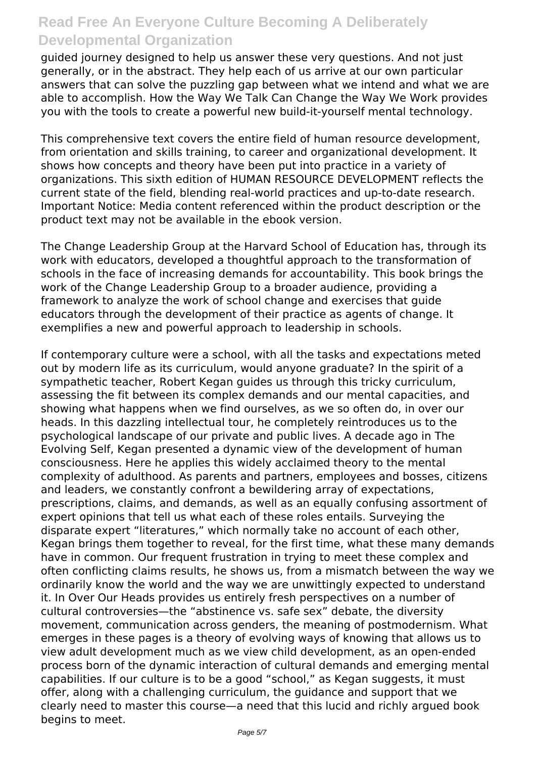guided journey designed to help us answer these very questions. And not just generally, or in the abstract. They help each of us arrive at our own particular answers that can solve the puzzling gap between what we intend and what we are able to accomplish. How the Way We Talk Can Change the Way We Work provides you with the tools to create a powerful new build-it-yourself mental technology.

This comprehensive text covers the entire field of human resource development, from orientation and skills training, to career and organizational development. It shows how concepts and theory have been put into practice in a variety of organizations. This sixth edition of HUMAN RESOURCE DEVELOPMENT reflects the current state of the field, blending real-world practices and up-to-date research. Important Notice: Media content referenced within the product description or the product text may not be available in the ebook version.

The Change Leadership Group at the Harvard School of Education has, through its work with educators, developed a thoughtful approach to the transformation of schools in the face of increasing demands for accountability. This book brings the work of the Change Leadership Group to a broader audience, providing a framework to analyze the work of school change and exercises that guide educators through the development of their practice as agents of change. It exemplifies a new and powerful approach to leadership in schools.

If contemporary culture were a school, with all the tasks and expectations meted out by modern life as its curriculum, would anyone graduate? In the spirit of a sympathetic teacher, Robert Kegan guides us through this tricky curriculum, assessing the fit between its complex demands and our mental capacities, and showing what happens when we find ourselves, as we so often do, in over our heads. In this dazzling intellectual tour, he completely reintroduces us to the psychological landscape of our private and public lives. A decade ago in The Evolving Self, Kegan presented a dynamic view of the development of human consciousness. Here he applies this widely acclaimed theory to the mental complexity of adulthood. As parents and partners, employees and bosses, citizens and leaders, we constantly confront a bewildering array of expectations, prescriptions, claims, and demands, as well as an equally confusing assortment of expert opinions that tell us what each of these roles entails. Surveying the disparate expert "literatures," which normally take no account of each other, Kegan brings them together to reveal, for the first time, what these many demands have in common. Our frequent frustration in trying to meet these complex and often conflicting claims results, he shows us, from a mismatch between the way we ordinarily know the world and the way we are unwittingly expected to understand it. In Over Our Heads provides us entirely fresh perspectives on a number of cultural controversies—the "abstinence vs. safe sex" debate, the diversity movement, communication across genders, the meaning of postmodernism. What emerges in these pages is a theory of evolving ways of knowing that allows us to view adult development much as we view child development, as an open-ended process born of the dynamic interaction of cultural demands and emerging mental capabilities. If our culture is to be a good "school," as Kegan suggests, it must offer, along with a challenging curriculum, the guidance and support that we clearly need to master this course—a need that this lucid and richly argued book begins to meet.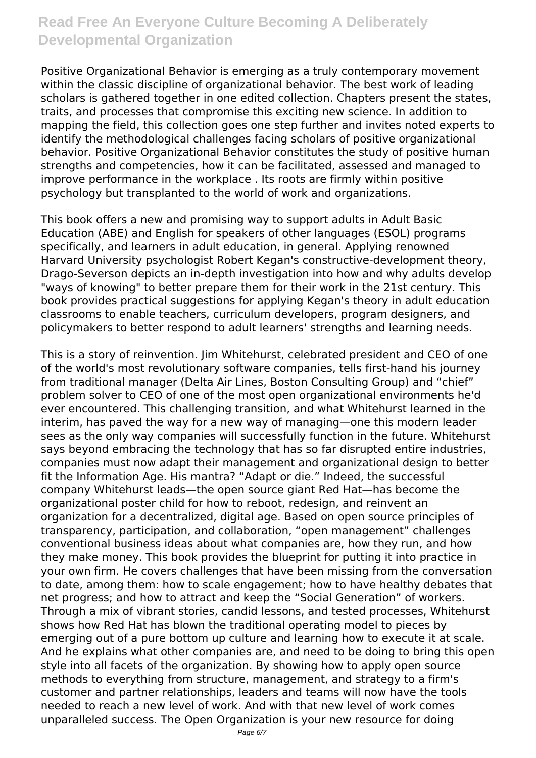Positive Organizational Behavior is emerging as a truly contemporary movement within the classic discipline of organizational behavior. The best work of leading scholars is gathered together in one edited collection. Chapters present the states, traits, and processes that compromise this exciting new science. In addition to mapping the field, this collection goes one step further and invites noted experts to identify the methodological challenges facing scholars of positive organizational behavior. Positive Organizational Behavior constitutes the study of positive human strengths and competencies, how it can be facilitated, assessed and managed to improve performance in the workplace . Its roots are firmly within positive psychology but transplanted to the world of work and organizations.

This book offers a new and promising way to support adults in Adult Basic Education (ABE) and English for speakers of other languages (ESOL) programs specifically, and learners in adult education, in general. Applying renowned Harvard University psychologist Robert Kegan's constructive-development theory, Drago-Severson depicts an in-depth investigation into how and why adults develop "ways of knowing" to better prepare them for their work in the 21st century. This book provides practical suggestions for applying Kegan's theory in adult education classrooms to enable teachers, curriculum developers, program designers, and policymakers to better respond to adult learners' strengths and learning needs.

This is a story of reinvention. Jim Whitehurst, celebrated president and CEO of one of the world's most revolutionary software companies, tells first-hand his journey from traditional manager (Delta Air Lines, Boston Consulting Group) and "chief" problem solver to CEO of one of the most open organizational environments he'd ever encountered. This challenging transition, and what Whitehurst learned in the interim, has paved the way for a new way of managing—one this modern leader sees as the only way companies will successfully function in the future. Whitehurst says beyond embracing the technology that has so far disrupted entire industries, companies must now adapt their management and organizational design to better fit the Information Age. His mantra? "Adapt or die." Indeed, the successful company Whitehurst leads—the open source giant Red Hat—has become the organizational poster child for how to reboot, redesign, and reinvent an organization for a decentralized, digital age. Based on open source principles of transparency, participation, and collaboration, "open management" challenges conventional business ideas about what companies are, how they run, and how they make money. This book provides the blueprint for putting it into practice in your own firm. He covers challenges that have been missing from the conversation to date, among them: how to scale engagement; how to have healthy debates that net progress; and how to attract and keep the "Social Generation" of workers. Through a mix of vibrant stories, candid lessons, and tested processes, Whitehurst shows how Red Hat has blown the traditional operating model to pieces by emerging out of a pure bottom up culture and learning how to execute it at scale. And he explains what other companies are, and need to be doing to bring this open style into all facets of the organization. By showing how to apply open source methods to everything from structure, management, and strategy to a firm's customer and partner relationships, leaders and teams will now have the tools needed to reach a new level of work. And with that new level of work comes unparalleled success. The Open Organization is your new resource for doing